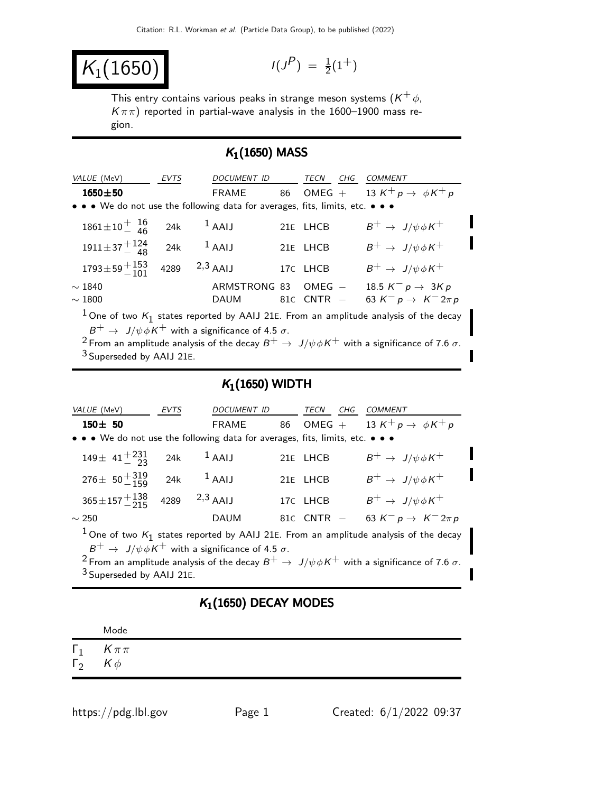$K_1(1650)$ 

$$
I(J^P) = \frac{1}{2}(1^+)
$$

This entry contains various peaks in strange meson systems  $(\mathsf{K}^+ \phi, \mathsf{K}^+)$  $K\pi\pi$ ) reported in partial-wave analysis in the 1600–1900 mass region.

## $K_1(1650)$  MASS

| VALUE (MeV)                                                                                        | <b>EVTS</b> | <b>DOCUMENT ID</b> |    | TECN<br>CHG    | COMMENT                                      |  |
|----------------------------------------------------------------------------------------------------|-------------|--------------------|----|----------------|----------------------------------------------|--|
| $1650 \pm 50$                                                                                      |             | <b>FRAME</b>       | 86 | $OMEG +$       | 13 K <sup>+</sup> p $\rightarrow \phi K^+ p$ |  |
| • • • We do not use the following data for averages, fits, limits, etc. • • •                      |             |                    |    |                |                                              |  |
| $1861 \pm 10 \frac{+}{-}$ $\frac{16}{46}$                                                          | 24k         | $1$ AAIJ           |    | 21E LHCB       | $B^+ \rightarrow J/\psi \phi K^+$            |  |
| $1911 \pm 37 + {124 \over 48}$ 24k                                                                 |             | $1$ AAIJ           |    | 21E LHCB       | $B^+ \rightarrow J/\psi \phi K^+$            |  |
| $1793 \pm 59 + \frac{153}{101}$                                                                    |             | 4289 $2,3$ AAIJ    |    | 17C LHCB       | $B^+ \rightarrow J/\psi \phi K^+$            |  |
| $\sim$ 1840                                                                                        |             | ARMSTRONG 83       |    | $OMEG -$       | 18.5 $K^- p \rightarrow 3Kp$                 |  |
| $\sim 1800$                                                                                        |             | DAUM               |    | $81C$ CNTR $-$ | 63 $K^- p \to K^- 2\pi p$                    |  |
| <sup>1</sup> One of two $K_1$ states reported by AAIJ 21E. From an amplitude analysis of the decay |             |                    |    |                |                                              |  |

 $B^+ \rightarrow \,$  J/ $\psi \phi K^+$  with a significance of 4.5  $\sigma.$ 

<sup>2</sup> From an amplitude analysis of the decay  $B^+ \to J/\psi \phi K^+$  with a significance of 7.6 σ. 3 Superseded by AAIJ 21E.

## $K_1(1650)$  WIDTH

| VALUE (MeV)                                                                                                                                                                                                                                                                                                                                   | EVTS | DOCUMENT ID        |    | TECN<br>CHG     | COMMENT                                      |
|-----------------------------------------------------------------------------------------------------------------------------------------------------------------------------------------------------------------------------------------------------------------------------------------------------------------------------------------------|------|--------------------|----|-----------------|----------------------------------------------|
| $150 \pm 50$                                                                                                                                                                                                                                                                                                                                  |      | <b>FRAME</b>       | 86 | $OMEG +$        | 13 K <sup>+</sup> p $\rightarrow \phi K^+ p$ |
| • • • We do not use the following data for averages, fits, limits, etc. • • •                                                                                                                                                                                                                                                                 |      |                    |    |                 |                                              |
| $149 \pm 41 + \frac{231}{23}$                                                                                                                                                                                                                                                                                                                 | 24k  | $1$ AAIJ           |    | 21E LHCB        | $B^+ \rightarrow J/\psi \phi K^+$            |
| $276 \pm 50 + \frac{319}{150}$                                                                                                                                                                                                                                                                                                                | 24k  | $1$ AAIJ           |    | 21E LHCB        | $B^+ \rightarrow J/\psi \phi K^+$            |
| $365 \pm 157 + \frac{138}{215}$                                                                                                                                                                                                                                                                                                               |      | 4289 $^{2,3}$ AAIJ |    | 17C LHCB        | $B^+ \rightarrow J/\psi \phi K^+$            |
| $\sim$ 250                                                                                                                                                                                                                                                                                                                                    |      | <b>DAUM</b>        |    | 81 $C$ CNTR $-$ | 63 $K^- p \to K^- 2\pi p$                    |
| <sup>1</sup> One of two $K_1$ states reported by AAIJ 21E. From an amplitude analysis of the decay<br>$B^+ \rightarrow J/\psi \phi K^+$ with a significance of 4.5 $\sigma$ .<br><sup>2</sup> From an amplitude analysis of the decay $B^+ \to J/\psi \phi K^+$ with a significance of 7.6 $\sigma$ .<br><sup>3</sup> Superseded by AAIJ 21E. |      |                    |    |                 |                                              |

## $K_1(1650)$  DECAY MODES

|            | Mode                              |
|------------|-----------------------------------|
| $\Gamma_2$ | $\Gamma_1$ $K \pi \pi$<br>$K\phi$ |